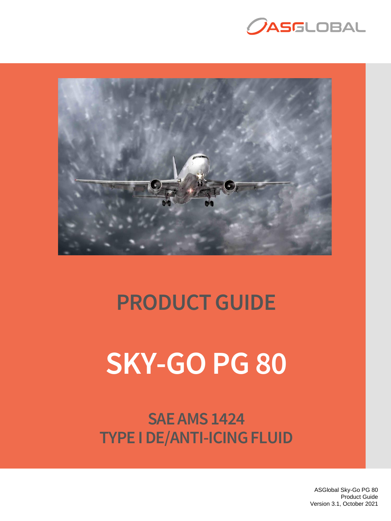



# **PRODUCT GUIDE**

# **SKY-GO PG 80**

**SAE AMS 1424 TYPE I DE/ANTI-ICING FLUID**

> ASGlobal Sky-Go PG 80 Product Guide Version 3.1, October 2021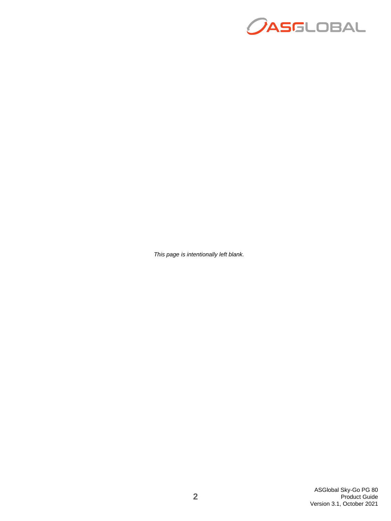

*This page is intentionally left blank.*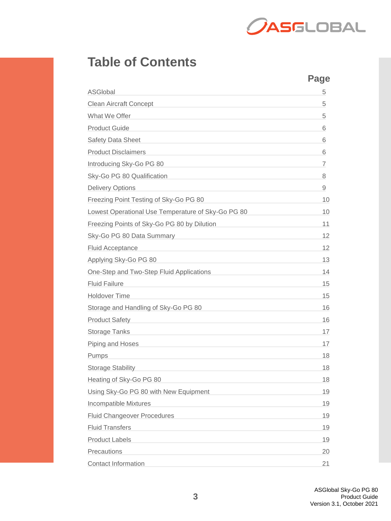

# **Table of Contents**

|                                                    | Page |
|----------------------------------------------------|------|
| ASGlobal                                           | 5    |
| <b>Clean Aircraft Concept</b>                      | 5    |
| What We Offer                                      | 5    |
| <b>Product Guide</b>                               | 6    |
| <b>Safety Data Sheet</b>                           | 6    |
| <b>Product Disclaimers</b>                         | 6    |
| Introducing Sky-Go PG 80                           | 7    |
| Sky-Go PG 80 Qualification                         | 8    |
| <b>Delivery Options</b>                            | 9    |
| Freezing Point Testing of Sky-Go PG 80             | 10   |
| Lowest Operational Use Temperature of Sky-Go PG 80 | 10   |
| Freezing Points of Sky-Go PG 80 by Dilution        | 11   |
| Sky-Go PG 80 Data Summary                          | 12   |
| <b>Fluid Acceptance</b>                            | 12   |
| Applying Sky-Go PG 80                              | 13   |
| One-Step and Two-Step Fluid Applications           | 14   |
| <b>Fluid Failure</b>                               | 15   |
| <b>Holdover Time</b>                               | 15   |
| Storage and Handling of Sky-Go PG 80               | 16   |
| <b>Product Safety</b>                              | 16   |
| <b>Storage Tanks</b>                               | 17   |
| Piping and Hoses                                   | 17   |
| Pumps                                              | 18   |
| <b>Storage Stability</b>                           | 18   |
| Heating of Sky-Go PG 80                            | 18   |
| Using Sky-Go PG 80 with New Equipment              | 19   |
| <b>Incompatible Mixtures</b>                       | 19   |
| <b>Fluid Changeover Procedures</b>                 | 19   |
| <b>Fluid Transfers</b>                             | 19   |
| <b>Product Labels</b>                              | 19   |
| Precautions                                        | 20   |
| Contact Information                                | 21   |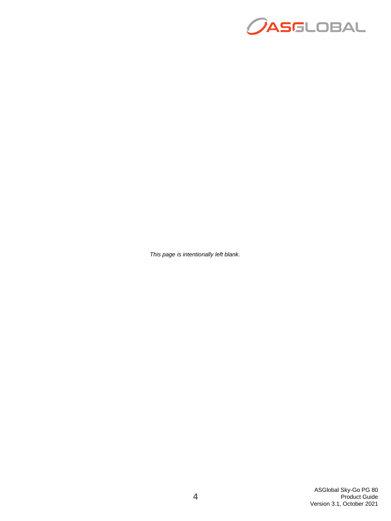

*This page is intentionally left blank.*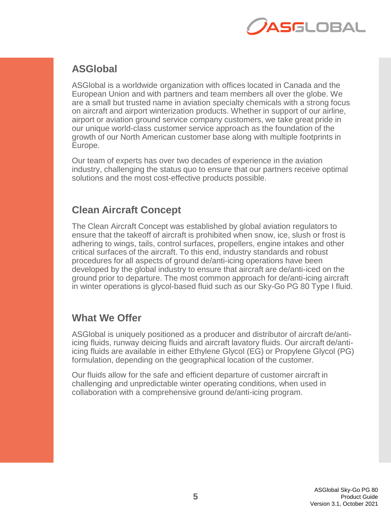

# **ASGlobal**

ASGlobal is a worldwide organization with offices located in Canada and the European Union and with partners and team members all over the globe. We are a small but trusted name in aviation specialty chemicals with a strong focus on aircraft and airport winterization products. Whether in support of our airline, airport or aviation ground service company customers, we take great pride in our unique world-class customer service approach as the foundation of the growth of our North American customer base along with multiple footprints in Europe.

Our team of experts has over two decades of experience in the aviation industry, challenging the status quo to ensure that our partners receive optimal solutions and the most cost-effective products possible.

## **Clean Aircraft Concept**

The Clean Aircraft Concept was established by global aviation regulators to ensure that the takeoff of aircraft is prohibited when snow, ice, slush or frost is adhering to wings, tails, control surfaces, propellers, engine intakes and other critical surfaces of the aircraft. To this end, industry standards and robust procedures for all aspects of ground de/anti-icing operations have been developed by the global industry to ensure that aircraft are de/anti-iced on the ground prior to departure. The most common approach for de/anti-icing aircraft in winter operations is glycol-based fluid such as our Sky-Go PG 80 Type I fluid.

#### **What We Offer**

ASGlobal is uniquely positioned as a producer and distributor of aircraft de/antiicing fluids, runway deicing fluids and aircraft lavatory fluids. Our aircraft de/antiicing fluids are available in either Ethylene Glycol (EG) or Propylene Glycol (PG) formulation, depending on the geographical location of the customer.

Our fluids allow for the safe and efficient departure of customer aircraft in challenging and unpredictable winter operating conditions, when used in collaboration with a comprehensive ground de/anti-icing program.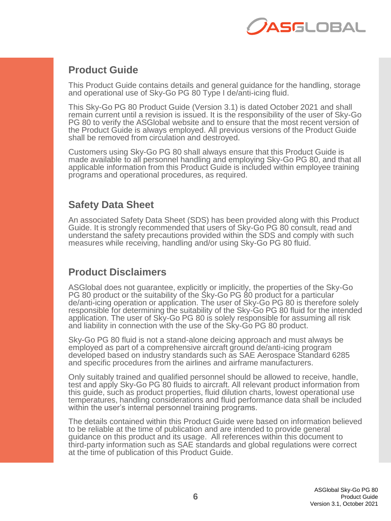

#### **Product Guide**

This Product Guide contains details and general guidance for the handling, storage and operational use of Sky-Go PG 80 Type I de/anti-icing fluid.

This Sky-Go PG 80 Product Guide (Version 3.1) is dated October 2021 and shall remain current until a revision is issued. It is the responsibility of the user of Sky-Go PG 80 to verify the ASGlobal website and to ensure that the most recent version of the Product Guide is always employed. All previous versions of the Product Guide shall be removed from circulation and destroyed.

Customers using Sky-Go PG 80 shall always ensure that this Product Guide is made available to all personnel handling and employing Sky-Go PG 80, and that all applicable information from this Product Guide is included within employee training programs and operational procedures, as required.

#### **Safety Data Sheet**

An associated Safety Data Sheet (SDS) has been provided along with this Product Guide. It is strongly recommended that users of Sky-Go PG 80 consult, read and understand the safety precautions provided within the SDS and comply with such measures while receiving, handling and/or using Sky-Go PG 80 fluid.

#### **Product Disclaimers**

ASGlobal does not guarantee, explicitly or implicitly, the properties of the Sky-Go PG 80 product or the suitability of the Sky-Go PG 80 product for a particular de/anti-icing operation or application. The user of Sky-Go PG 80 is therefore solely responsible for determining the suitability of the Sky-Go PG 80 fluid for the intended application. The user of Sky-Go PG 80 is solely responsible for assuming all risk and liability in connection with the use of the Sky-Go PG 80 product.

Sky-Go PG 80 fluid is not a stand-alone deicing approach and must always be employed as part of a comprehensive aircraft ground de/anti-icing program developed based on industry standards such as SAE Aerospace Standard 6285 and specific procedures from the airlines and airframe manufacturers.

Only suitably trained and qualified personnel should be allowed to receive, handle, test and apply Sky-Go PG 80 fluids to aircraft. All relevant product information from this guide, such as product properties, fluid dilution charts, lowest operational use temperatures, handling considerations and fluid performance data shall be included within the user's internal personnel training programs.

The details contained within this Product Guide were based on information believed to be reliable at the time of publication and are intended to provide general guidance on this product and its usage. All references within this document to third-party information such as SAE standards and global regulations were correct at the time of publication of this Product Guide.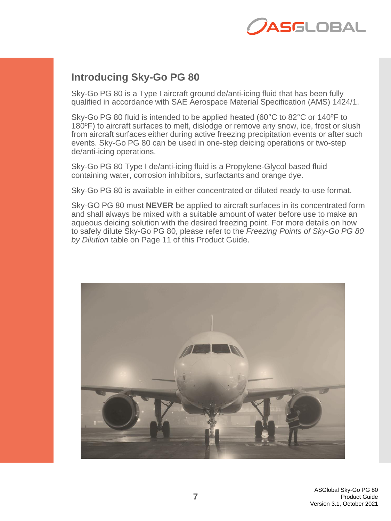

#### **Introducing Sky-Go PG 80**

Sky-Go PG 80 is a Type I aircraft ground de/anti-icing fluid that has been fully qualified in accordance with SAE Aerospace Material Specification (AMS) 1424/1.

Sky-Go PG 80 fluid is intended to be applied heated (60°C to 82°C or 140ºF to 180ºF) to aircraft surfaces to melt, dislodge or remove any snow, ice, frost or slush from aircraft surfaces either during active freezing precipitation events or after such events. Sky-Go PG 80 can be used in one-step deicing operations or two-step de/anti-icing operations.

Sky-Go PG 80 Type I de/anti-icing fluid is a Propylene-Glycol based fluid containing water, corrosion inhibitors, surfactants and orange dye.

Sky-Go PG 80 is available in either concentrated or diluted ready-to-use format.

Sky-GO PG 80 must **NEVER** be applied to aircraft surfaces in its concentrated form and shall always be mixed with a suitable amount of water before use to make an aqueous deicing solution with the desired freezing point. For more details on how to safely dilute Sky-Go PG 80, please refer to the *Freezing Points of Sky-Go PG 80 by Dilution* table on Page 11 of this Product Guide.

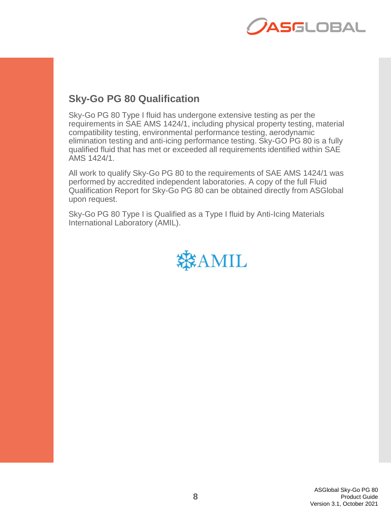

#### **Sky-Go PG 80 Qualification**

Sky-Go PG 80 Type I fluid has undergone extensive testing as per the requirements in SAE AMS 1424/1, including physical property testing, material compatibility testing, environmental performance testing, aerodynamic elimination testing and anti-icing performance testing. Sky-GO PG 80 is a fully qualified fluid that has met or exceeded all requirements identified within SAE AMS 1424/1.

All work to qualify Sky-Go PG 80 to the requirements of SAE AMS 1424/1 was performed by accredited independent laboratories. A copy of the full Fluid Qualification Report for Sky-Go PG 80 can be obtained directly from ASGlobal upon request.

Sky-Go PG 80 Type I is Qualified as a Type I fluid by Anti-Icing Materials International Laboratory (AMIL).

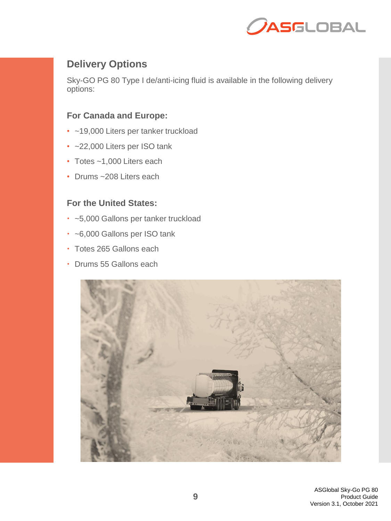

# **Delivery Options**

Sky-GO PG 80 Type I de/anti-icing fluid is available in the following delivery options:

#### **For Canada and Europe:**

- ~19,000 Liters per tanker truckload
- ~22,000 Liters per ISO tank
- Totes ~1,000 Liters each
- Drums ~208 Liters each

#### **For the United States:**

- ~5,000 Gallons per tanker truckload
- ~6,000 Gallons per ISO tank
- Totes 265 Gallons each
- Drums 55 Gallons each

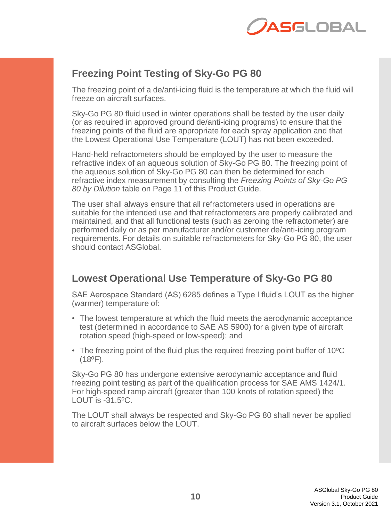

## **Freezing Point Testing of Sky-Go PG 80**

The freezing point of a de/anti-icing fluid is the temperature at which the fluid will freeze on aircraft surfaces.

Sky-Go PG 80 fluid used in winter operations shall be tested by the user daily (or as required in approved ground de/anti-icing programs) to ensure that the freezing points of the fluid are appropriate for each spray application and that the Lowest Operational Use Temperature (LOUT) has not been exceeded.

Hand-held refractometers should be employed by the user to measure the refractive index of an aqueous solution of Sky-Go PG 80. The freezing point of the aqueous solution of Sky-Go PG 80 can then be determined for each refractive index measurement by consulting the *Freezing Points of Sky-Go PG 80 by Dilution* table on Page 11 of this Product Guide.

The user shall always ensure that all refractometers used in operations are suitable for the intended use and that refractometers are properly calibrated and maintained, and that all functional tests (such as zeroing the refractometer) are performed daily or as per manufacturer and/or customer de/anti-icing program requirements. For details on suitable refractometers for Sky-Go PG 80, the user should contact ASGlobal.

#### **Lowest Operational Use Temperature of Sky-Go PG 80**

SAE Aerospace Standard (AS) 6285 defines a Type I fluid's LOUT as the higher (warmer) temperature of:

- The lowest temperature at which the fluid meets the aerodynamic acceptance test (determined in accordance to SAE AS 5900) for a given type of aircraft rotation speed (high-speed or low-speed); and
- The freezing point of the fluid plus the required freezing point buffer of 10ºC  $(18^{\circ}F)$ .

Sky-Go PG 80 has undergone extensive aerodynamic acceptance and fluid freezing point testing as part of the qualification process for SAE AMS 1424/1. For high-speed ramp aircraft (greater than 100 knots of rotation speed) the LOUT is -31.5ºC.

The LOUT shall always be respected and Sky-Go PG 80 shall never be applied to aircraft surfaces below the LOUT.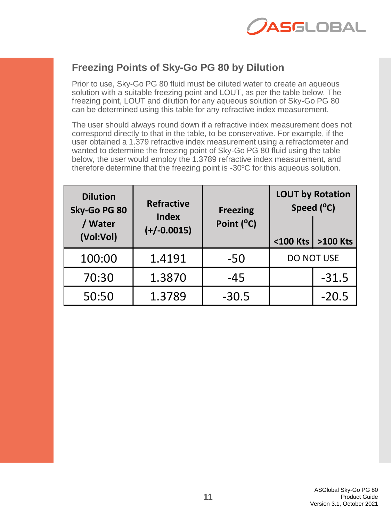

#### **Freezing Points of Sky-Go PG 80 by Dilution**

Prior to use, Sky-Go PG 80 fluid must be diluted water to create an aqueous solution with a suitable freezing point and LOUT, as per the table below. The freezing point, LOUT and dilution for any aqueous solution of Sky-Go PG 80 can be determined using this table for any refractive index measurement.

The user should always round down if a refractive index measurement does not correspond directly to that in the table, to be conservative. For example, if the user obtained a 1.379 refractive index measurement using a refractometer and wanted to determine the freezing point of Sky-Go PG 80 fluid using the table below, the user would employ the 1.3789 refractive index measurement, and therefore determine that the freezing point is -30ºC for this aqueous solution.

| <b>Dilution</b><br>Sky-Go PG 80<br>/ Water | <b>Refractive</b><br><b>Index</b> | <b>Freezing</b><br>Point (°C) |            | <b>LOUT by Rotation</b><br>Speed (°C) |
|--------------------------------------------|-----------------------------------|-------------------------------|------------|---------------------------------------|
| (Vol:Vol)                                  | $(+/-0.0015)$                     |                               |            | $<$ 100 Kts $  >$ 100 Kts             |
| 100:00                                     | 1.4191                            | $-50$                         | DO NOT USE |                                       |
| 70:30                                      | 1.3870                            | $-45$                         |            | $-31.5$                               |
| 50:50                                      | 1.3789                            | $-30.5$                       |            | $-20.5$                               |
|                                            |                                   | 11                            |            | ASGlobal Sky-C<br>Produ               |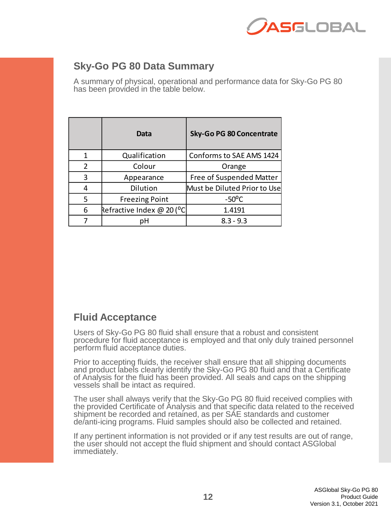

#### **Sky-Go PG 80 Data Summary**

A summary of physical, operational and performance data for Sky-Go PG 80 has been provided in the table below.

|   | Data                       | <b>Sky-Go PG 80 Concentrate</b> |
|---|----------------------------|---------------------------------|
| 1 | Qualification              | Conforms to SAE AMS 1424        |
| 2 | Colour                     | Orange                          |
| 3 | Appearance                 | Free of Suspended Matter        |
| 4 | Dilution                   | Must be Diluted Prior to Use    |
| 5 | <b>Freezing Point</b>      | $-50^{\circ}$ C                 |
| 6 | Refractive Index @ 20 (°C) | 1.4191                          |
|   | рH                         | $8.3 - 9.3$                     |

#### **Fluid Acceptance**

Users of Sky-Go PG 80 fluid shall ensure that a robust and consistent procedure for fluid acceptance is employed and that only duly trained personnel perform fluid acceptance duties.

Prior to accepting fluids, the receiver shall ensure that all shipping documents and product labels clearly identify the Sky-Go PG 80 fluid and that a Certificate of Analysis for the fluid has been provided. All seals and caps on the shipping vessels shall be intact as required.

The user shall always verify that the Sky-Go PG 80 fluid received complies with the provided Certificate of Analysis and that specific data related to the received shipment be recorded and retained, as per SAE standards and customer de/anti-icing programs. Fluid samples should also be collected and retained.

If any pertinent information is not provided or if any test results are out of range, the user should not accept the fluid shipment and should contact ASGlobal immediately.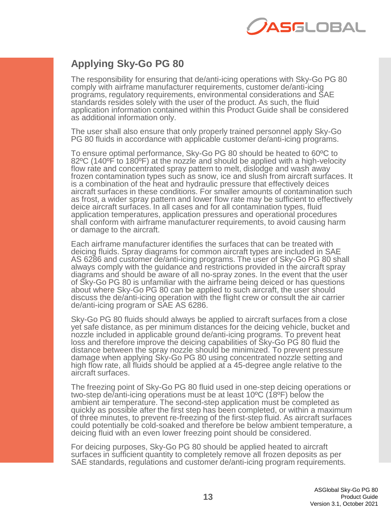

#### **Applying Sky-Go PG 80**

The responsibility for ensuring that de/anti-icing operations with Sky-Go PG 80 comply with airframe manufacturer requirements, customer de/anti-icing programs, regulatory requirements, environmental considerations and SAE standards resides solely with the user of the product. As such, the fluid application information contained within this Product Guide shall be considered as additional information only.

The user shall also ensure that only properly trained personnel apply Sky-Go PG 80 fluids in accordance with applicable customer de/anti-icing programs.

To ensure optimal performance, Sky-Go PG 80 should be heated to 60ºC to 82ºC (140ºF to 180ºF) at the nozzle and should be applied with a high-velocity flow rate and concentrated spray pattern to melt, dislodge and wash away frozen contamination types such as snow, ice and slush from aircraft surfaces. It is a combination of the heat and hydraulic pressure that effectively deices aircraft surfaces in these conditions. For smaller amounts of contamination such as frost, a wider spray pattern and lower flow rate may be sufficient to effectively deice aircraft surfaces. In all cases and for all contamination types, fluid application temperatures, application pressures and operational procedures shall conform with airframe manufacturer requirements, to avoid causing harm or damage to the aircraft.

Each airframe manufacturer identifies the surfaces that can be treated with deicing fluids. Spray diagrams for common aircraft types are included in SAE AS 6286 and customer de/anti-icing programs. The user of Sky-Go PG 80 shall always comply with the guidance and restrictions provided in the aircraft spray diagrams and should be aware of all no-spray zones. In the event that the user of Sky-Go PG 80 is unfamiliar with the airframe being deiced or has questions about where Sky-Go PG 80 can be applied to such aircraft, the user should discuss the de/anti-icing operation with the flight crew or consult the air carrier de/anti-icing program or SAE AS 6286.

Sky-Go PG 80 fluids should always be applied to aircraft surfaces from a close yet safe distance, as per minimum distances for the deicing vehicle, bucket and nozzle included in applicable ground de/anti-icing programs. To prevent heat loss and therefore improve the deicing capabilities of Sky-Go PG 80 fluid the distance between the spray nozzle should be minimized. To prevent pressure damage when applying Sky-Go PG 80 using concentrated nozzle setting and high flow rate, all fluids should be applied at a 45-degree angle relative to the aircraft surfaces.

The freezing point of Sky-Go PG 80 fluid used in one-step deicing operations or two-step de/anti-icing operations must be at least 10ºC (18ºF) below the ambient air temperature. The second-step application must be completed as quickly as possible after the first step has been completed, or within a maximum of three minutes, to prevent re-freezing of the first-step fluid. As aircraft surfaces could potentially be cold-soaked and therefore be below ambient temperature, a deicing fluid with an even lower freezing point should be considered.

For deicing purposes, Sky-Go PG 80 should be applied heated to aircraft surfaces in sufficient quantity to completely remove all frozen deposits as per SAE standards, regulations and customer de/anti-icing program requirements.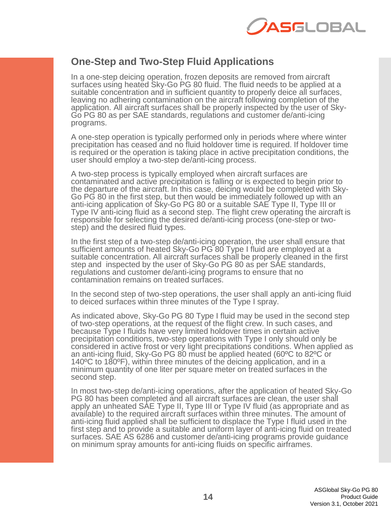

#### **One-Step and Two-Step Fluid Applications**

In a one-step deicing operation, frozen deposits are removed from aircraft surfaces using heated Sky-Go PG 80 fluid. The fluid needs to be applied at a suitable concentration and in sufficient quantity to properly deice all surfaces, leaving no adhering contamination on the aircraft following completion of the application. All aircraft surfaces shall be properly inspected by the user of Sky-Go PG 80 as per SAE standards, regulations and customer de/anti-icing programs.

A one-step operation is typically performed only in periods where where winter precipitation has ceased and no fluid holdover time is required. If holdover time is required or the operation is taking place in active precipitation conditions, the user should employ a two-step de/anti-icing process.

A two-step process is typically employed when aircraft surfaces are contaminated and active precipitation is falling or is expected to begin prior to the departure of the aircraft. In this case, deicing would be completed with Sky-Go PG 80 in the first step, but then would be immediately followed up with an anti-icing application of Sky-Go PG 80 or a suitable SAE Type II, Type III or Type IV anti-icing fluid as a second step. The flight crew operating the aircraft is responsible for selecting the desired de/anti-icing process (one-step or twostep) and the desired fluid types.

In the first step of a two-step de/anti-icing operation, the user shall ensure that sufficient amounts of heated Sky-Go PG 80 Type I fluid are employed at a suitable concentration. All aircraft surfaces shall be properly cleaned in the first step and inspected by the user of Sky-Go PG 80 as per SAE standards, regulations and customer de/anti-icing programs to ensure that no contamination remains on treated surfaces.

In the second step of two-step operations, the user shall apply an anti-icing fluid to deiced surfaces within three minutes of the Type I spray.

As indicated above, Sky-Go PG 80 Type I fluid may be used in the second step of two-step operations, at the request of the flight crew. In such cases, and because Type I fluids have very limited holdover times in certain active precipitation conditions, two-step operations with Type I only should only be considered in active frost or very light precipitations conditions. When applied as an anti-icing fluid, Sky-Go PG 80 must be applied heated (60ºC to 82ºC or 140ºC to 180ºF), within three minutes of the deicing application, and in a minimum quantity of one liter per square meter on treated surfaces in the second step.

In most two-step de/anti-icing operations, after the application of heated Sky-Go PG 80 has been completed and all aircraft surfaces are clean, the user shall apply an unheated SAE Type II, Type III or Type IV fluid (as appropriate and as available) to the required aircraft surfaces within three minutes. The amount of anti-icing fluid applied shall be sufficient to displace the Type I fluid used in the first step and to provide a suitable and uniform layer of anti-icing fluid on treated surfaces. SAE AS 6286 and customer de/anti-icing programs provide guidance on minimum spray amounts for anti-icing fluids on specific airframes.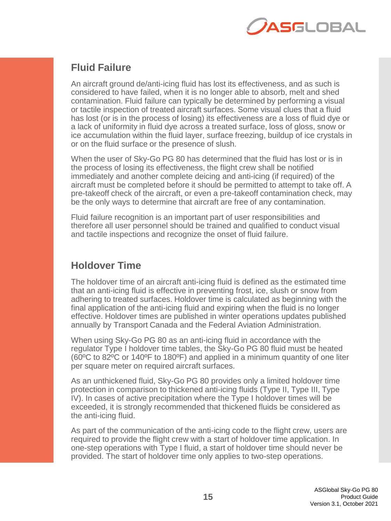

#### **Fluid Failure**

An aircraft ground de/anti-icing fluid has lost its effectiveness, and as such is considered to have failed, when it is no longer able to absorb, melt and shed contamination. Fluid failure can typically be determined by performing a visual or tactile inspection of treated aircraft surfaces. Some visual clues that a fluid has lost (or is in the process of losing) its effectiveness are a loss of fluid dye or a lack of uniformity in fluid dye across a treated surface, loss of gloss, snow or ice accumulation within the fluid layer, surface freezing, buildup of ice crystals in or on the fluid surface or the presence of slush.

When the user of Sky-Go PG 80 has determined that the fluid has lost or is in the process of losing its effectiveness, the flight crew shall be notified immediately and another complete deicing and anti-icing (if required) of the aircraft must be completed before it should be permitted to attempt to take off. A pre-takeoff check of the aircraft, or even a pre-takeoff contamination check, may be the only ways to determine that aircraft are free of any contamination.

Fluid failure recognition is an important part of user responsibilities and therefore all user personnel should be trained and qualified to conduct visual and tactile inspections and recognize the onset of fluid failure.

#### **Holdover Time**

The holdover time of an aircraft anti-icing fluid is defined as the estimated time that an anti-icing fluid is effective in preventing frost, ice, slush or snow from adhering to treated surfaces. Holdover time is calculated as beginning with the final application of the anti-icing fluid and expiring when the fluid is no longer effective. Holdover times are published in winter operations updates published annually by Transport Canada and the Federal Aviation Administration.

When using Sky-Go PG 80 as an anti-icing fluid in accordance with the regulator Type I holdover time tables, the Sky-Go PG 80 fluid must be heated (60ºC to 82ºC or 140ºF to 180ºF) and applied in a minimum quantity of one liter per square meter on required aircraft surfaces.

As an unthickened fluid, Sky-Go PG 80 provides only a limited holdover time protection in comparison to thickened anti-icing fluids (Type II, Type III, Type IV). In cases of active precipitation where the Type I holdover times will be exceeded, it is strongly recommended that thickened fluids be considered as the anti-icing fluid.

As part of the communication of the anti-icing code to the flight crew, users are required to provide the flight crew with a start of holdover time application. In one-step operations with Type I fluid, a start of holdover time should never be provided. The start of holdover time only applies to two-step operations.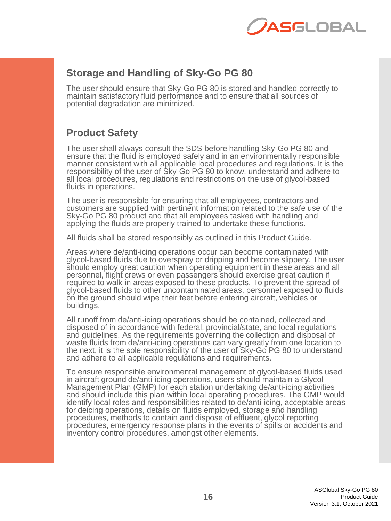

#### **Storage and Handling of Sky-Go PG 80**

The user should ensure that Sky-Go PG 80 is stored and handled correctly to maintain satisfactory fluid performance and to ensure that all sources of potential degradation are minimized.

#### **Product Safety**

The user shall always consult the SDS before handling Sky-Go PG 80 and ensure that the fluid is employed safely and in an environmentally responsible manner consistent with all applicable local procedures and regulations. It is the responsibility of the user of Sky-Go PG 80 to know, understand and adhere to all local procedures, regulations and restrictions on the use of glycol-based fluids in operations.

The user is responsible for ensuring that all employees, contractors and customers are supplied with pertinent information related to the safe use of the Sky-Go PG 80 product and that all employees tasked with handling and applying the fluids are properly trained to undertake these functions.

All fluids shall be stored responsibly as outlined in this Product Guide.

Areas where de/anti-icing operations occur can become contaminated with glycol-based fluids due to overspray or dripping and become slippery. The user should employ great caution when operating equipment in these areas and all personnel, flight crews or even passengers should exercise great caution if required to walk in areas exposed to these products. To prevent the spread of glycol-based fluids to other uncontaminated areas, personnel exposed to fluids on the ground should wipe their feet before entering aircraft, vehicles or buildings.

All runoff from de/anti-icing operations should be contained, collected and disposed of in accordance with federal, provincial/state, and local regulations and guidelines. As the requirements governing the collection and disposal of waste fluids from de/anti-icing operations can vary greatly from one location to the next, it is the sole responsibility of the user of Sky-Go PG 80 to understand and adhere to all applicable regulations and requirements.

To ensure responsible environmental management of glycol-based fluids used in aircraft ground de/anti-icing operations, users should maintain a Glycol Management Plan (GMP) for each station undertaking de/anti-icing activities and should include this plan within local operating procedures. The GMP would identify local roles and responsibilities related to de/anti-icing, acceptable areas for deicing operations, details on fluids employed, storage and handling procedures, methods to contain and dispose of effluent, glycol reporting procedures, emergency response plans in the events of spills or accidents and inventory control procedures, amongst other elements.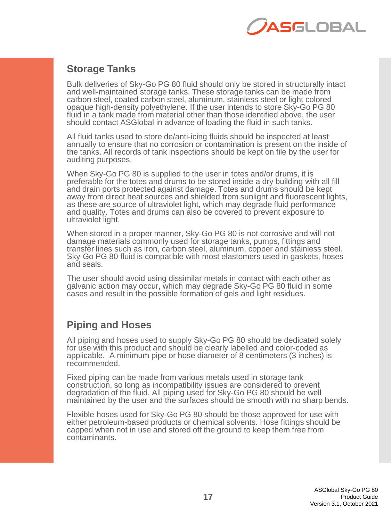

#### **Storage Tanks**

Bulk deliveries of Sky-Go PG 80 fluid should only be stored in structurally intact and well-maintained storage tanks. These storage tanks can be made from carbon steel, coated carbon steel, aluminum, stainless steel or light colored opaque high-density polyethylene. If the user intends to store Sky-Go PG 80 fluid in a tank made from material other than those identified above, the user should contact ASGlobal in advance of loading the fluid in such tanks.

All fluid tanks used to store de/anti-icing fluids should be inspected at least annually to ensure that no corrosion or contamination is present on the inside of the tanks. All records of tank inspections should be kept on file by the user for auditing purposes.

When Sky-Go PG 80 is supplied to the user in totes and/or drums, it is preferable for the totes and drums to be stored inside a dry building with all fill and drain ports protected against damage. Totes and drums should be kept away from direct heat sources and shielded from sunlight and fluorescent lights, as these are source of ultraviolet light, which may degrade fluid performance and quality. Totes and drums can also be covered to prevent exposure to ultraviolet light.

When stored in a proper manner, Sky-Go PG 80 is not corrosive and will not damage materials commonly used for storage tanks, pumps, fittings and transfer lines such as iron, carbon steel, aluminum, copper and stainless steel. Sky-Go PG 80 fluid is compatible with most elastomers used in gaskets, hoses and seals.

The user should avoid using dissimilar metals in contact with each other as galvanic action may occur, which may degrade Sky-Go PG 80 fluid in some cases and result in the possible formation of gels and light residues.

# **Piping and Hoses**

All piping and hoses used to supply Sky-Go PG 80 should be dedicated solely for use with this product and should be clearly labelled and color-coded as applicable. A minimum pipe or hose diameter of 8 centimeters (3 inches) is recommended.

Fixed piping can be made from various metals used in storage tank construction, so long as incompatibility issues are considered to prevent degradation of the fluid. All piping used for Sky-Go PG 80 should be well maintained by the user and the surfaces should be smooth with no sharp bends.

Flexible hoses used for Sky-Go PG 80 should be those approved for use with either petroleum-based products or chemical solvents. Hose fittings should be capped when not in use and stored off the ground to keep them free from contaminants.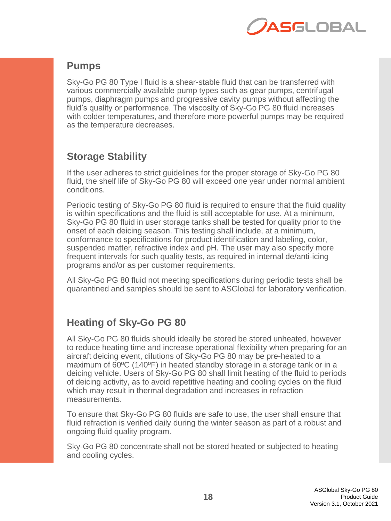

#### **Pumps**

Sky-Go PG 80 Type I fluid is a shear-stable fluid that can be transferred with various commercially available pump types such as gear pumps, centrifugal pumps, diaphragm pumps and progressive cavity pumps without affecting the fluid's quality or performance. The viscosity of Sky-Go PG 80 fluid increases with colder temperatures, and therefore more powerful pumps may be required as the temperature decreases.

#### **Storage Stability**

If the user adheres to strict guidelines for the proper storage of Sky-Go PG 80 fluid, the shelf life of Sky-Go PG 80 will exceed one year under normal ambient conditions.

Periodic testing of Sky-Go PG 80 fluid is required to ensure that the fluid quality is within specifications and the fluid is still acceptable for use. At a minimum, Sky-Go PG 80 fluid in user storage tanks shall be tested for quality prior to the onset of each deicing season. This testing shall include, at a minimum, conformance to specifications for product identification and labeling, color, suspended matter, refractive index and pH. The user may also specify more frequent intervals for such quality tests, as required in internal de/anti-icing programs and/or as per customer requirements.

All Sky-Go PG 80 fluid not meeting specifications during periodic tests shall be quarantined and samples should be sent to ASGlobal for laboratory verification.

#### **Heating of Sky-Go PG 80**

All Sky-Go PG 80 fluids should ideally be stored be stored unheated, however to reduce heating time and increase operational flexibility when preparing for an aircraft deicing event, dilutions of Sky-Go PG 80 may be pre-heated to a maximum of 60ºC (140ºF) in heated standby storage in a storage tank or in a deicing vehicle. Users of Sky-Go PG 80 shall limit heating of the fluid to periods of deicing activity, as to avoid repetitive heating and cooling cycles on the fluid which may result in thermal degradation and increases in refraction measurements.

To ensure that Sky-Go PG 80 fluids are safe to use, the user shall ensure that fluid refraction is verified daily during the winter season as part of a robust and ongoing fluid quality program.

Sky-Go PG 80 concentrate shall not be stored heated or subjected to heating and cooling cycles.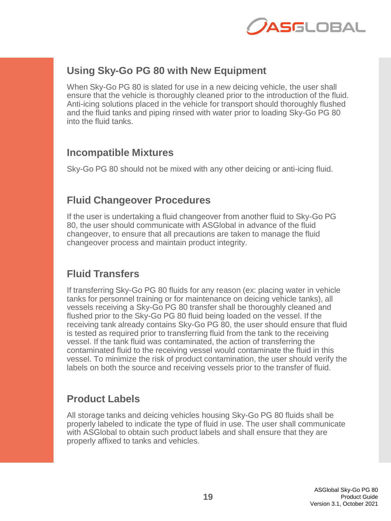

#### **Using Sky-Go PG 80 with New Equipment**

When Sky-Go PG 80 is slated for use in a new deicing vehicle, the user shall ensure that the vehicle is thoroughly cleaned prior to the introduction of the fluid. Anti-icing solutions placed in the vehicle for transport should thoroughly flushed and the fluid tanks and piping rinsed with water prior to loading Sky-Go PG 80 into the fluid tanks.

#### **Incompatible Mixtures**

Sky-Go PG 80 should not be mixed with any other deicing or anti-icing fluid.

#### **Fluid Changeover Procedures**

If the user is undertaking a fluid changeover from another fluid to Sky-Go PG 80, the user should communicate with ASGlobal in advance of the fluid changeover, to ensure that all precautions are taken to manage the fluid changeover process and maintain product integrity.

# **Fluid Transfers**

If transferring Sky-Go PG 80 fluids for any reason (ex: placing water in vehicle tanks for personnel training or for maintenance on deicing vehicle tanks), all vessels receiving a Sky-Go PG 80 transfer shall be thoroughly cleaned and flushed prior to the Sky-Go PG 80 fluid being loaded on the vessel. If the receiving tank already contains Sky-Go PG 80, the user should ensure that fluid is tested as required prior to transferring fluid from the tank to the receiving vessel. If the tank fluid was contaminated, the action of transferring the contaminated fluid to the receiving vessel would contaminate the fluid in this vessel. To minimize the risk of product contamination, the user should verify the labels on both the source and receiving vessels prior to the transfer of fluid.

#### **Product Labels**

All storage tanks and deicing vehicles housing Sky-Go PG 80 fluids shall be properly labeled to indicate the type of fluid in use. The user shall communicate with ASGlobal to obtain such product labels and shall ensure that they are properly affixed to tanks and vehicles.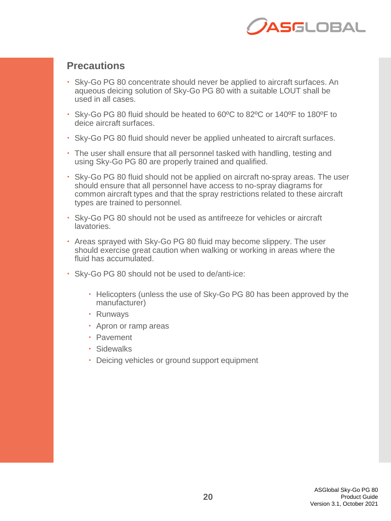

#### **Precautions**

- Sky-Go PG 80 concentrate should never be applied to aircraft surfaces. An aqueous deicing solution of Sky-Go PG 80 with a suitable LOUT shall be used in all cases.
- Sky-Go PG 80 fluid should be heated to 60ºC to 82ºC or 140ºF to 180ºF to deice aircraft surfaces.
- Sky-Go PG 80 fluid should never be applied unheated to aircraft surfaces.
- The user shall ensure that all personnel tasked with handling, testing and using Sky-Go PG 80 are properly trained and qualified.
- Sky-Go PG 80 fluid should not be applied on aircraft no-spray areas. The user should ensure that all personnel have access to no-spray diagrams for common aircraft types and that the spray restrictions related to these aircraft types are trained to personnel.
- Sky-Go PG 80 should not be used as antifreeze for vehicles or aircraft lavatories.
- Areas sprayed with Sky-Go PG 80 fluid may become slippery. The user should exercise great caution when walking or working in areas where the fluid has accumulated.
- Sky-Go PG 80 should not be used to de/anti-ice:
	- Helicopters (unless the use of Sky-Go PG 80 has been approved by the manufacturer)
	- Runways
	- Apron or ramp areas
	- Pavement
	- Sidewalks
	- Deicing vehicles or ground support equipment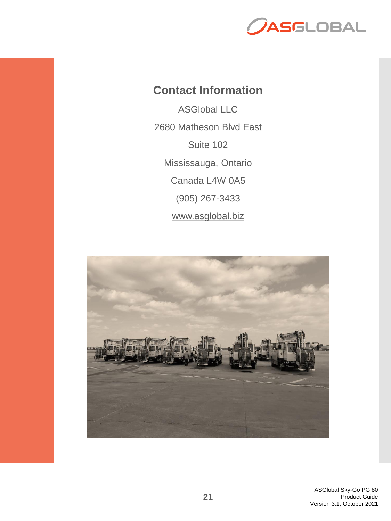

# **Contact Information**

ASGlobal LLC 2680 Matheson Blvd East Suite 102 Mississauga, Ontario Canada L4W 0A5 (905) 267-3433 [www.asglobal.biz](http://www.asglobal.biz/)